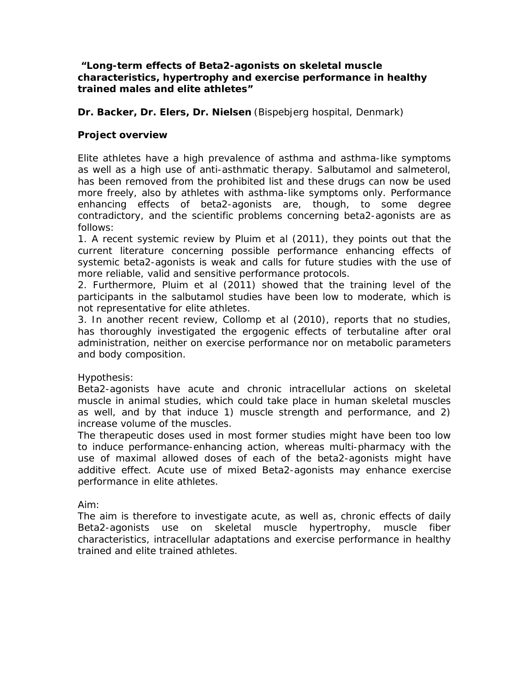### **"***Long-term effects of Beta2-agonists on skeletal muscle characteristics, hypertrophy and exercise performance in healthy trained males and elite athletes***"**

## **Dr. Backer, Dr. Elers, Dr. Nielsen** (Bispebjerg hospital, Denmark)

# **Project overview**

Elite athletes have a high prevalence of asthma and asthma-like symptoms as well as a high use of anti-asthmatic therapy. Salbutamol and salmeterol, has been removed from the prohibited list and these drugs can now be used more freely, also by athletes with asthma-like symptoms only. Performance enhancing effects of beta2-agonists are, though, to some degree contradictory, and the scientific problems concerning beta2-agonists are as follows:

1. A recent systemic review by Pluim et al (2011), they points out that the current literature concerning possible performance enhancing effects of systemic beta2-agonists is weak and calls for future studies with the use of more reliable, valid and sensitive performance protocols.

2. Furthermore, Pluim et al (2011) showed that the training level of the participants in the salbutamol studies have been low to moderate, which is not representative for elite athletes.

3. In another recent review, Collomp et al (2010), reports that no studies, has thoroughly investigated the ergogenic effects of terbutaline after oral administration, neither on exercise performance nor on metabolic parameters and body composition.

### Hypothesis:

Beta2-agonists have acute and chronic intracellular actions on skeletal muscle in animal studies, which could take place in human skeletal muscles as well, and by that induce 1) muscle strength and performance, and 2) increase volume of the muscles.

The therapeutic doses used in most former studies might have been too low to induce performance-enhancing action, whereas multi-pharmacy with the use of maximal allowed doses of each of the beta2-agonists might have additive effect. Acute use of mixed Beta2-agonists may enhance exercise performance in elite athletes.

Aim:

The aim is therefore to investigate acute, as well as, chronic effects of daily Beta2-agonists use on skeletal muscle hypertrophy, muscle fiber characteristics, intracellular adaptations and exercise performance in healthy trained and elite trained athletes.